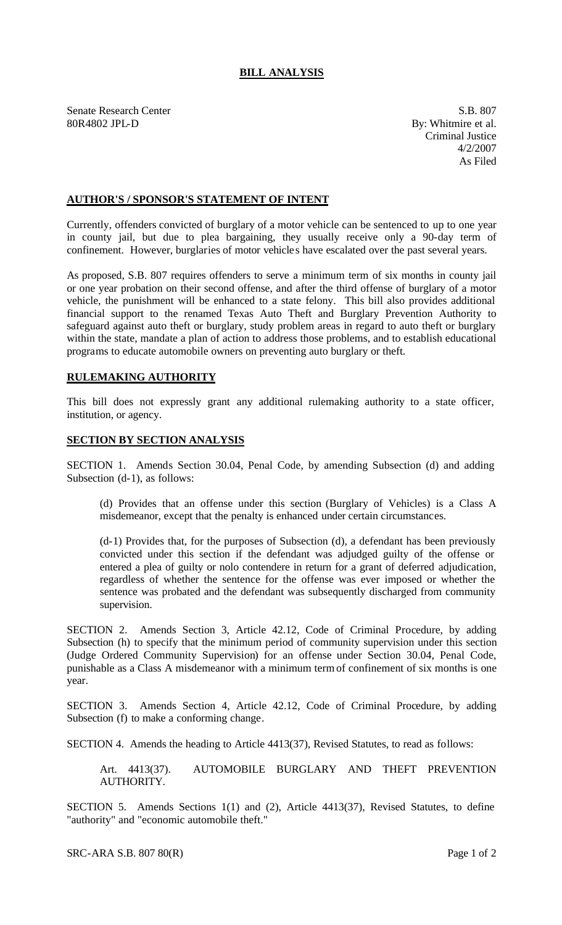## **BILL ANALYSIS**

Senate Research Center S.B. 807 80R4802 JPL-D By: Whitmire et al.

Criminal Justice 4/2/2007 As Filed

## **AUTHOR'S / SPONSOR'S STATEMENT OF INTENT**

Currently, offenders convicted of burglary of a motor vehicle can be sentenced to up to one year in county jail, but due to plea bargaining, they usually receive only a 90-day term of confinement. However, burglaries of motor vehicles have escalated over the past several years.

As proposed, S.B. 807 requires offenders to serve a minimum term of six months in county jail or one year probation on their second offense, and after the third offense of burglary of a motor vehicle, the punishment will be enhanced to a state felony. This bill also provides additional financial support to the renamed Texas Auto Theft and Burglary Prevention Authority to safeguard against auto theft or burglary, study problem areas in regard to auto theft or burglary within the state, mandate a plan of action to address those problems, and to establish educational programs to educate automobile owners on preventing auto burglary or theft.

## **RULEMAKING AUTHORITY**

This bill does not expressly grant any additional rulemaking authority to a state officer, institution, or agency.

## **SECTION BY SECTION ANALYSIS**

SECTION 1. Amends Section 30.04, Penal Code, by amending Subsection (d) and adding Subsection (d-1), as follows:

(d) Provides that an offense under this section (Burglary of Vehicles) is a Class A misdemeanor, except that the penalty is enhanced under certain circumstances.

(d-1) Provides that, for the purposes of Subsection (d), a defendant has been previously convicted under this section if the defendant was adjudged guilty of the offense or entered a plea of guilty or nolo contendere in return for a grant of deferred adjudication, regardless of whether the sentence for the offense was ever imposed or whether the sentence was probated and the defendant was subsequently discharged from community supervision.

SECTION 2. Amends Section 3, Article 42.12, Code of Criminal Procedure, by adding Subsection (h) to specify that the minimum period of community supervision under this section (Judge Ordered Community Supervision) for an offense under Section 30.04, Penal Code, punishable as a Class A misdemeanor with a minimum term of confinement of six months is one year.

SECTION 3. Amends Section 4, Article 42.12, Code of Criminal Procedure, by adding Subsection (f) to make a conforming change.

SECTION 4. Amends the heading to Article 4413(37), Revised Statutes, to read as follows:

Art. 4413(37). AUTOMOBILE BURGLARY AND THEFT PREVENTION AUTHORITY.

SECTION 5. Amends Sections 1(1) and (2), Article 4413(37), Revised Statutes, to define "authority" and "economic automobile theft."